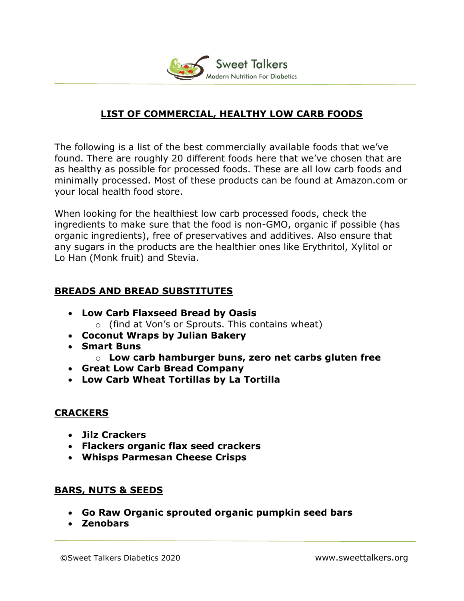

## LIST OF COMMERCIAL, HEALTHY LOW CARB FOODS

The following is a list of the best commercially available foods that we've found. There are roughly 20 different foods here that we've chosen that are as healthy as possible for processed foods. These are all low carb foods and minimally processed. Most of these products can be found at Amazon.com or your local health food store.

When looking for the healthiest low carb processed foods, check the ingredients to make sure that the food is non-GMO, organic if possible (has organic ingredients), free of preservatives and additives. Also ensure that any sugars in the products are the healthier ones like Erythritol, Xylitol or Lo Han (Monk fruit) and Stevia.

### BREADS AND BREAD SUBSTITUTES

- Low Carb Flaxseed Bread by Oasis o (find at Von's or Sprouts. This contains wheat)
- Coconut Wraps by Julian Bakery
- Smart Buns
	- $\circ$  Low carb hamburger buns, zero net carbs gluten free
- Great Low Carb Bread Company
- Low Carb Wheat Tortillas by La Tortilla

## **CRACKERS**

- Jilz Crackers
- Flackers organic flax seed crackers
- Whisps Parmesan Cheese Crisps

### BARS, NUTS & SEEDS

- Go Raw Organic sprouted organic pumpkin seed bars
- Zenobars